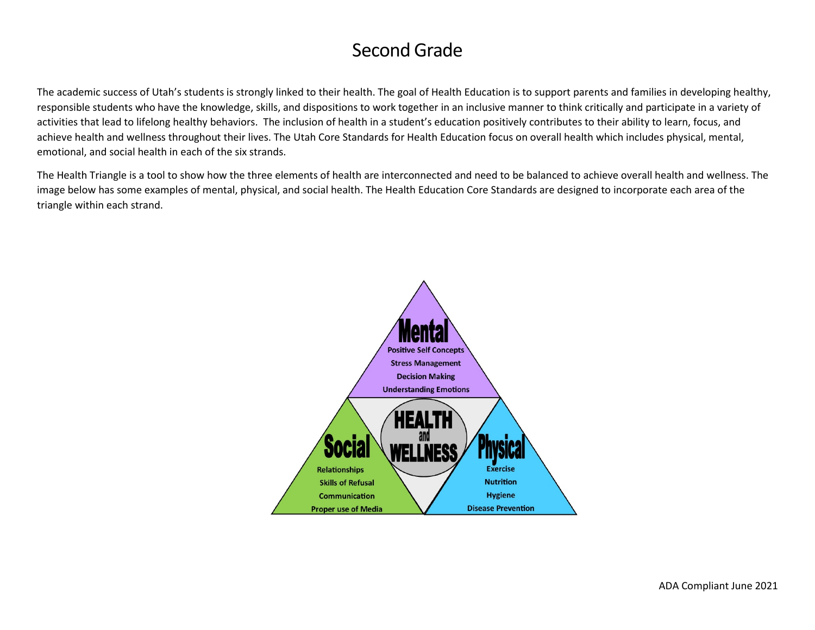# Second Grade

The academic success of Utah's students is strongly linked to their health. The goal of Health Education is to support parents and families in developing healthy, responsible students who have the knowledge, skills, and dispositions to work together in an inclusive manner to think critically and participate in a variety of activities that lead to lifelong healthy behaviors. The inclusion of health in a student's education positively contributes to their ability to learn, focus, and achieve health and wellness throughout their lives. The Utah Core Standards for Health Education focus on overall health which includes physical, mental, emotional, and social health in each of the six strands.

The Health Triangle is a tool to show how the three elements of health are interconnected and need to be balanced to achieve overall health and wellness. The image below has some examples of mental, physical, and social health. The Health Education Core Standards are designed to incorporate each area of the triangle within each strand.

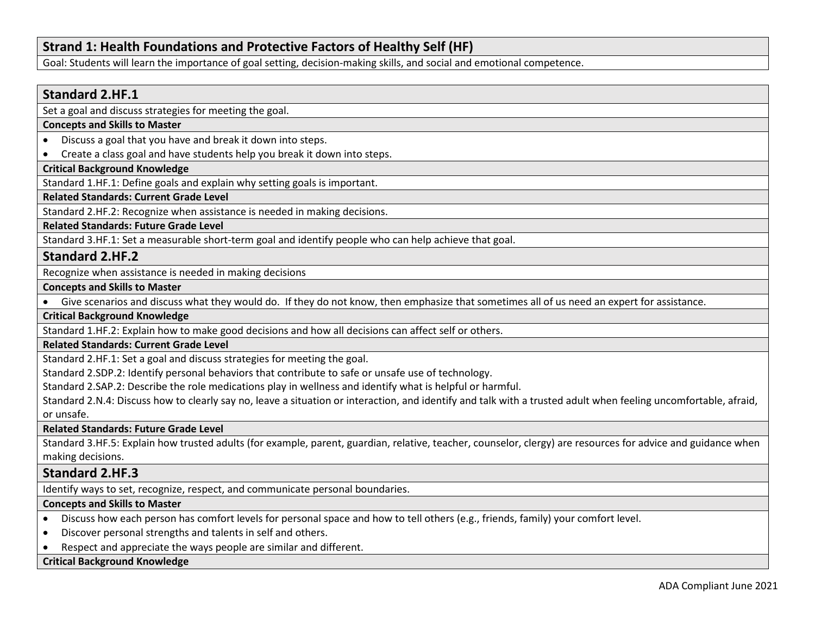# **Strand 1: Health Foundations and Protective Factors of Healthy Self (HF)**

Goal: Students will learn the importance of goal setting, decision-making skills, and social and emotional competence.

# **Standard 2.HF.1**

Set a goal and discuss strategies for meeting the goal.

### **Concepts and Skills to Master**

- Discuss a goal that you have and break it down into steps.
- Create a class goal and have students help you break it down into steps.

### **Critical Background Knowledge**

Standard 1.HF.1: Define goals and explain why setting goals is important.

# **Related Standards: Current Grade Level**

Standard 2.HF.2: Recognize when assistance is needed in making decisions.

**Related Standards: Future Grade Level** 

Standard 3.HF.1: Set a measurable short-term goal and identify people who can help achieve that goal.

# **Standard 2.HF.2**

Recognize when assistance is needed in making decisions

#### **Concepts and Skills to Master**

• Give scenarios and discuss what they would do. If they do not know, then emphasize that sometimes all of us need an expert for assistance.

**Critical Background Knowledge**

Standard 1.HF.2: Explain how to make good decisions and how all decisions can affect self or others.

# **Related Standards: Current Grade Level**

Standard 2.HF.1: Set a goal and discuss strategies for meeting the goal.

Standard 2.SDP.2: Identify personal behaviors that contribute to safe or unsafe use of technology.

Standard 2.SAP.2: Describe the role medications play in wellness and identify what is helpful or harmful.

Standard 2.N.4: Discuss how to clearly say no, leave a situation or interaction, and identify and talk with a trusted adult when feeling uncomfortable, afraid, or unsafe.

**Related Standards: Future Grade Level** 

Standard 3.HF.5: Explain how trusted adults (for example, parent, guardian, relative, teacher, counselor, clergy) are resources for advice and guidance when making decisions.

# **Standard 2.HF.3**

Identify ways to set, recognize, respect, and communicate personal boundaries.

#### **Concepts and Skills to Master**

- Discuss how each person has comfort levels for personal space and how to tell others (e.g., friends, family) your comfort level.
- Discover personal strengths and talents in self and others.
- Respect and appreciate the ways people are similar and different.

# **Critical Background Knowledge**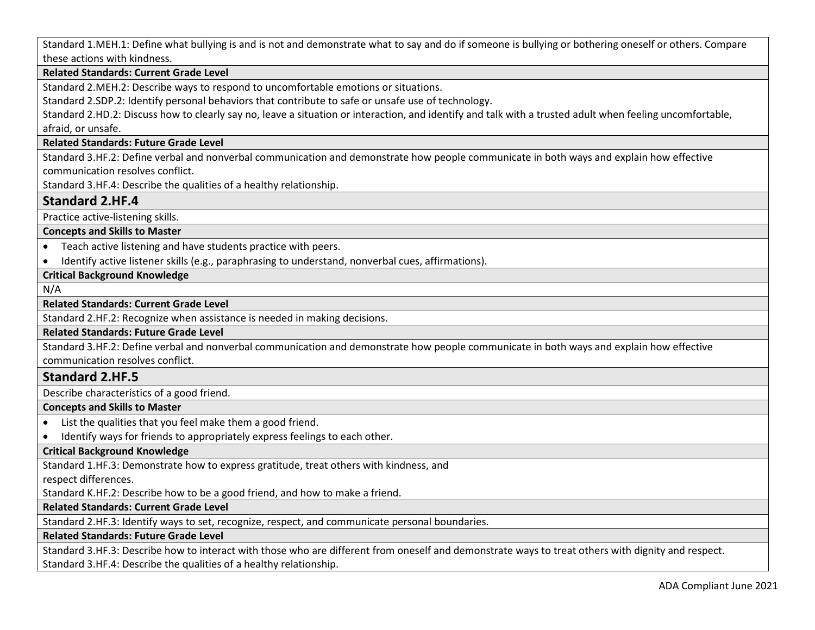Standard 1.MEH.1: Define what bullying is and is not and demonstrate what to say and do if someone is bullying or bothering oneself or others. Compare these actions with kindness.

### **Related Standards: Current Grade Level**

Standard 2.MEH.2: Describe ways to respond to uncomfortable emotions or situations.

Standard 2.SDP.2: Identify personal behaviors that contribute to safe or unsafe use of technology.

Standard 2.HD.2: Discuss how to clearly say no, leave a situation or interaction, and identify and talk with a trusted adult when feeling uncomfortable, afraid, or unsafe.

# **Related Standards: Future Grade Level**

Standard 3.HF.2: Define verbal and nonverbal communication and demonstrate how people communicate in both ways and explain how effective communication resolves conflict.

Standard 3.HF.4: Describe the qualities of a healthy relationship.

# **Standard 2.HF.4**

Practice active-listening skills.

**Concepts and Skills to Master** 

• Teach active listening and have students practice with peers.

• Identify active listener skills (e.g., paraphrasing to understand, nonverbal cues, affirmations).

# **Critical Background Knowledge**

N/A

# **Related Standards: Current Grade Level**

Standard 2.HF.2: Recognize when assistance is needed in making decisions.

#### **Related Standards: Future Grade Level**

Standard 3.HF.2: Define verbal and nonverbal communication and demonstrate how people communicate in both ways and explain how effective communication resolves conflict.

# **Standard 2.HF.5**

Describe characteristics of a good friend.

#### **Concepts and Skills to Master**

- List the qualities that you feel make them a good friend.
- Identify ways for friends to appropriately express feelings to each other.

# **Critical Background Knowledge**

Standard 1.HF.3: Demonstrate how to express gratitude, treat others with kindness, and

#### respect differences.

Standard K.HF.2: Describe how to be a good friend, and how to make a friend.

### **Related Standards: Current Grade Level**

Standard 2.HF.3: Identify ways to set, recognize, respect, and communicate personal boundaries.

#### **Related Standards: Future Grade Level**

Standard 3.HF.3: Describe how to interact with those who are different from oneself and demonstrate ways to treat others with dignity and respect. Standard 3.HF.4: Describe the qualities of a healthy relationship.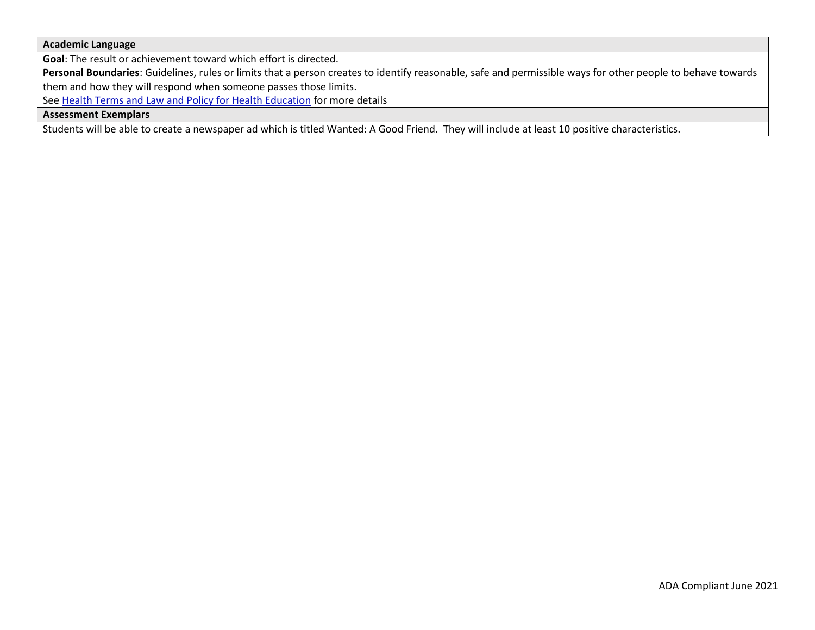### **Academic Language**

**Goal**: The result or achievement toward which effort is directed.

**Personal Boundaries**: Guidelines, rules or limits that a person creates to identify reasonable, safe and permissible ways for other people to behave towards them and how they will respond when someone passes those limits.

See [Health Terms and Law and Policy for Health Education](https://schools.utah.gov/file/79acf6fe-5e26-4f46-9374-116b785e9147) for more details

**Assessment Exemplars** 

Students will be able to create a newspaper ad which is titled Wanted: A Good Friend. They will include at least 10 positive characteristics.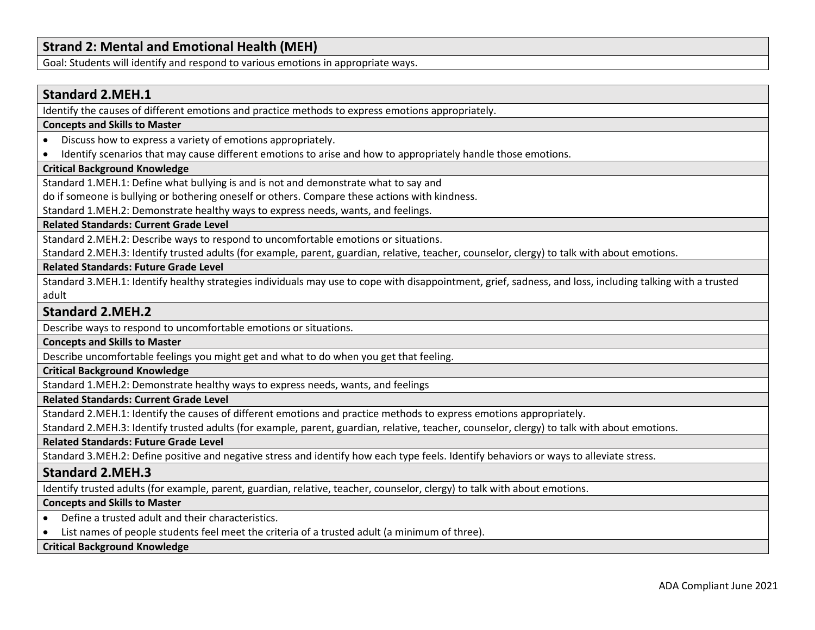# **Strand 2: Mental and Emotional Health (MEH)**

Goal: Students will identify and respond to various emotions in appropriate ways.

# **Standard 2.MEH.1**

Identify the causes of different emotions and practice methods to express emotions appropriately.

#### **Concepts and Skills to Master**

- Discuss how to express a variety of emotions appropriately.
- Identify scenarios that may cause different emotions to arise and how to appropriately handle those emotions.

#### **Critical Background Knowledge**

Standard 1.MEH.1: Define what bullying is and is not and demonstrate what to say and

do if someone is bullying or bothering oneself or others. Compare these actions with kindness.

Standard 1.MEH.2: Demonstrate healthy ways to express needs, wants, and feelings.

**Related Standards: Current Grade Level**

Standard 2.MEH.2: Describe ways to respond to uncomfortable emotions or situations.

Standard 2.MEH.3: Identify trusted adults (for example, parent, guardian, relative, teacher, counselor, clergy) to talk with about emotions.

**Related Standards: Future Grade Level** 

Standard 3.MEH.1: Identify healthy strategies individuals may use to cope with disappointment, grief, sadness, and loss, including talking with a trusted adult

# **Standard 2.MEH.2**

Describe ways to respond to uncomfortable emotions or situations.

**Concepts and Skills to Master** 

Describe uncomfortable feelings you might get and what to do when you get that feeling.

**Critical Background Knowledge**

Standard 1.MEH.2: Demonstrate healthy ways to express needs, wants, and feelings

#### **Related Standards: Current Grade Level**

Standard 2.MEH.1: Identify the causes of different emotions and practice methods to express emotions appropriately.

Standard 2.MEH.3: Identify trusted adults (for example, parent, guardian, relative, teacher, counselor, clergy) to talk with about emotions.

#### **Related Standards: Future Grade Level**

Standard 3.MEH.2: Define positive and negative stress and identify how each type feels. Identify behaviors or ways to alleviate stress.

# **Standard 2.MEH.3**

Identify trusted adults (for example, parent, guardian, relative, teacher, counselor, clergy) to talk with about emotions.

#### **Concepts and Skills to Master**

- Define a trusted adult and their characteristics.
- List names of people students feel meet the criteria of a trusted adult (a minimum of three).

### **Critical Background Knowledge**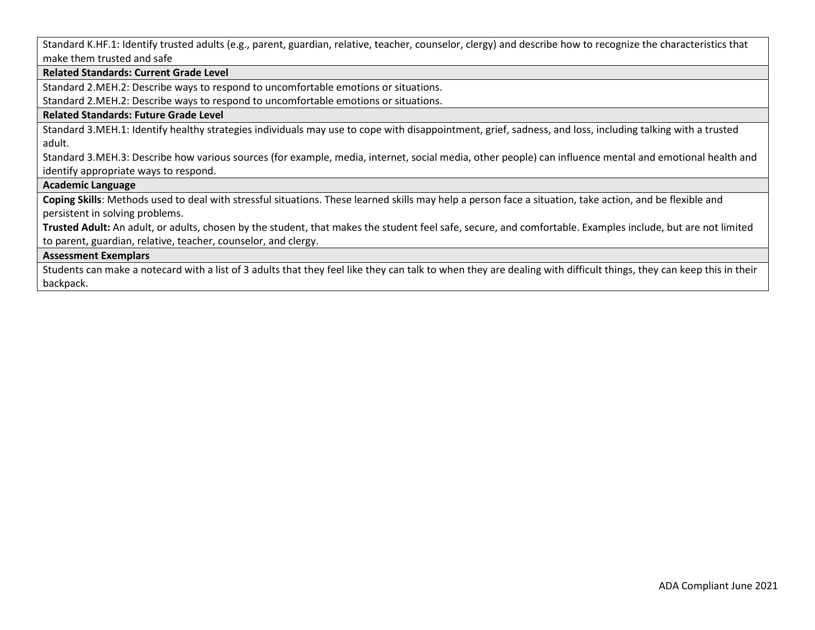Standard K.HF.1: Identify trusted adults (e.g., parent, guardian, relative, teacher, counselor, clergy) and describe how to recognize the characteristics that make them trusted and safe

#### **Related Standards: Current Grade Level**

Standard 2.MEH.2: Describe ways to respond to uncomfortable emotions or situations.

Standard 2.MEH.2: Describe ways to respond to uncomfortable emotions or situations.

# **Related Standards: Future Grade Level**

Standard 3.MEH.1: Identify healthy strategies individuals may use to cope with disappointment, grief, sadness, and loss, including talking with a trusted adult.

Standard 3.MEH.3: Describe how various sources (for example, media, internet, social media, other people) can influence mental and emotional health and identify appropriate ways to respond.

# **Academic Language**

**Coping Skills**: Methods used to deal with stressful situations. These learned skills may help a person face a situation, take action, and be flexible and persistent in solving problems.

**Trusted Adult:** An adult, or adults, chosen by the student, that makes the student feel safe, secure, and comfortable. Examples include, but are not limited to parent, guardian, relative, teacher, counselor, and clergy.

#### **Assessment Exemplars**

Students can make a notecard with a list of 3 adults that they feel like they can talk to when they are dealing with difficult things, they can keep this in their backpack.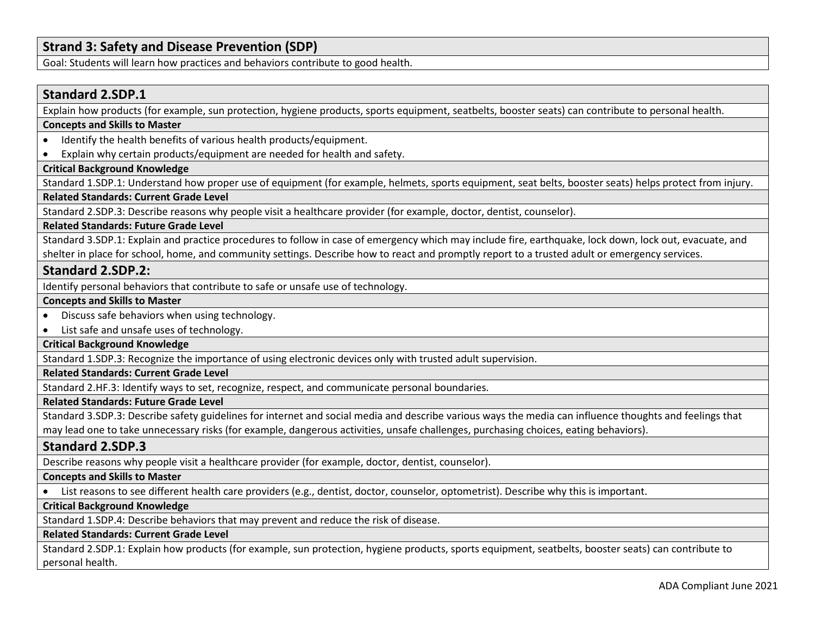# **Strand 3: Safety and Disease Prevention (SDP)**

Goal: Students will learn how practices and behaviors contribute to good health.

# **Standard 2.SDP.1**

Explain how products (for example, sun protection, hygiene products, sports equipment, seatbelts, booster seats) can contribute to personal health.

#### **Concepts and Skills to Master**

- Identify the health benefits of various health products/equipment.
- Explain why certain products/equipment are needed for health and safety.

# **Critical Background Knowledge**

Standard 1.SDP.1: Understand how proper use of equipment (for example, helmets, sports equipment, seat belts, booster seats) helps protect from injury.

# **Related Standards: Current Grade Level**

Standard 2.SDP.3: Describe reasons why people visit a healthcare provider (for example, doctor, dentist, counselor).

#### **Related Standards: Future Grade Level**

Standard 3.SDP.1: Explain and practice procedures to follow in case of emergency which may include fire, earthquake, lock down, lock out, evacuate, and shelter in place for school, home, and community settings. Describe how to react and promptly report to a trusted adult or emergency services.

### **Standard 2.SDP.2:**

Identify personal behaviors that contribute to safe or unsafe use of technology.

#### **Concepts and Skills to Master**

- Discuss safe behaviors when using technology.
- List safe and unsafe uses of technology.

#### **Critical Background Knowledge**

Standard 1.SDP.3: Recognize the importance of using electronic devices only with trusted adult supervision.

# **Related Standards: Current Grade Level**

Standard 2.HF.3: Identify ways to set, recognize, respect, and communicate personal boundaries.

#### **Related Standards: Future Grade Level**

Standard 3.SDP.3: Describe safety guidelines for internet and social media and describe various ways the media can influence thoughts and feelings that may lead one to take unnecessary risks (for example, dangerous activities, unsafe challenges, purchasing choices, eating behaviors).

### **Standard 2.SDP.3**

Describe reasons why people visit a healthcare provider (for example, doctor, dentist, counselor).

#### **Concepts and Skills to Master**

• List reasons to see different health care providers (e.g., dentist, doctor, counselor, optometrist). Describe why this is important.

# **Critical Background Knowledge**

Standard 1.SDP.4: Describe behaviors that may prevent and reduce the risk of disease.

#### **Related Standards: Current Grade Level**

Standard 2.SDP.1: Explain how products (for example, sun protection, hygiene products, sports equipment, seatbelts, booster seats) can contribute to personal health.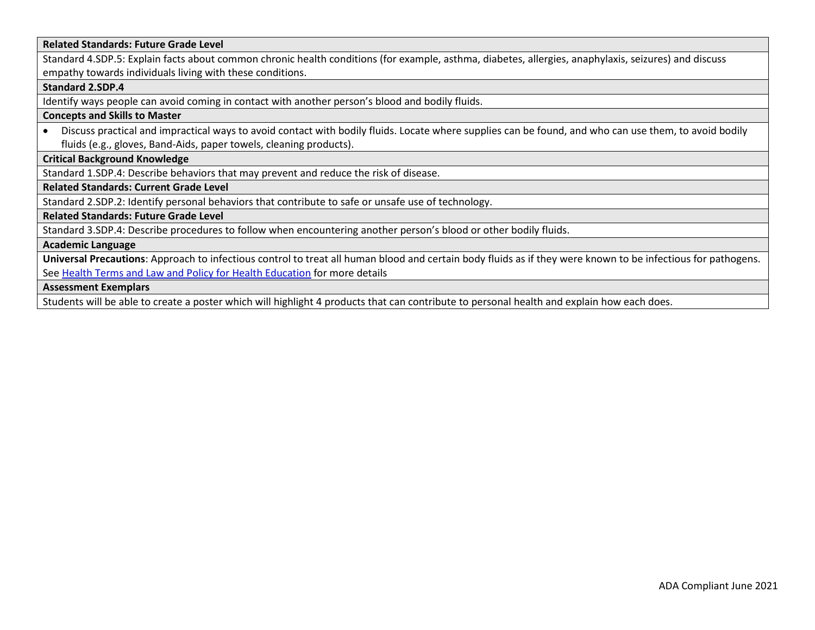#### **Related Standards: Future Grade Level**

Standard 4.SDP.5: Explain facts about common chronic health conditions (for example, asthma, diabetes, allergies, anaphylaxis, seizures) and discuss empathy towards individuals living with these conditions.

#### **Standard 2.SDP.4**

Identify ways people can avoid coming in contact with another person's blood and bodily fluids.

#### **Concepts and Skills to Master**

• Discuss practical and impractical ways to avoid contact with bodily fluids. Locate where supplies can be found, and who can use them, to avoid bodily fluids (e.g., gloves, Band-Aids, paper towels, cleaning products).

### **Critical Background Knowledge**

Standard 1.SDP.4: Describe behaviors that may prevent and reduce the risk of disease.

**Related Standards: Current Grade Level**

Standard 2.SDP.2: Identify personal behaviors that contribute to safe or unsafe use of technology.

#### **Related Standards: Future Grade Level**

Standard 3.SDP.4: Describe procedures to follow when encountering another person's blood or other bodily fluids.

#### **Academic Language**

**Universal Precautions**: Approach to infectious control to treat all human blood and certain body fluids as if they were known to be infectious for pathogens. See [Health Terms and Law and Policy for](https://schools.utah.gov/file/79acf6fe-5e26-4f46-9374-116b785e9147) Health Education for more details

### **Assessment Exemplars**

Students will be able to create a poster which will highlight 4 products that can contribute to personal health and explain how each does.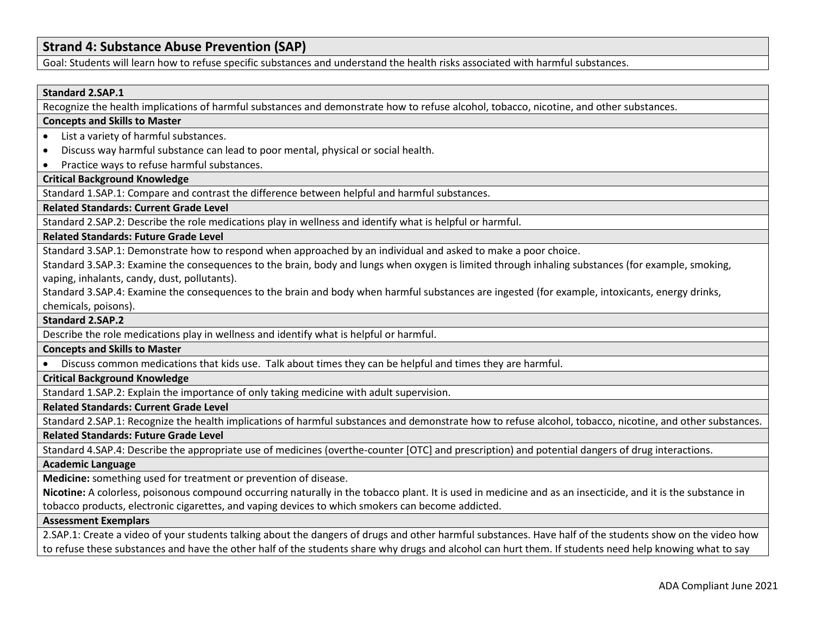# **Strand 4: Substance Abuse Prevention (SAP)**

Goal: Students will learn how to refuse specific substances and understand the health risks associated with harmful substances.

#### **Standard 2.SAP.1**

Recognize the health implications of harmful substances and demonstrate how to refuse alcohol, tobacco, nicotine, and other substances.

#### **Concepts and Skills to Master**

- List a variety of harmful substances.
- Discuss way harmful substance can lead to poor mental, physical or social health.
- Practice ways to refuse harmful substances.

### **Critical Background Knowledge**

Standard 1.SAP.1: Compare and contrast the difference between helpful and harmful substances.

### **Related Standards: Current Grade Level**

Standard 2.SAP.2: Describe the role medications play in wellness and identify what is helpful or harmful.

#### **Related Standards: Future Grade Level**

Standard 3.SAP.1: Demonstrate how to respond when approached by an individual and asked to make a poor choice.

Standard 3.SAP.3: Examine the consequences to the brain, body and lungs when oxygen is limited through inhaling substances (for example, smoking, vaping, inhalants, candy, dust, pollutants).

Standard 3.SAP.4: Examine the consequences to the brain and body when harmful substances are ingested (for example, intoxicants, energy drinks, chemicals, poisons).

#### **Standard 2.SAP.2**

Describe the role medications play in wellness and identify what is helpful or harmful.

#### **Concepts and Skills to Master**

• Discuss common medications that kids use. Talk about times they can be helpful and times they are harmful.

#### **Critical Background Knowledge**

Standard 1.SAP.2: Explain the importance of only taking medicine with adult supervision.

### **Related Standards: Current Grade Level**

Standard 2.SAP.1: Recognize the health implications of harmful substances and demonstrate how to refuse alcohol, tobacco, nicotine, and other substances.

**Related Standards: Future Grade Level** 

Standard 4.SAP.4: Describe the appropriate use of medicines (overthe-counter [OTC] and prescription) and potential dangers of drug interactions.

#### **Academic Language**

**Medicine:** something used for treatment or prevention of disease.

**Nicotine:** A colorless, poisonous compound occurring naturally in the tobacco plant. It is used in medicine and as an insecticide, and it is the substance in tobacco products, electronic cigarettes, and vaping devices to which smokers can become addicted.

#### **Assessment Exemplars**

2.SAP.1: Create a video of your students talking about the dangers of drugs and other harmful substances. Have half of the students show on the video how to refuse these substances and have the other half of the students share why drugs and alcohol can hurt them. If students need help knowing what to say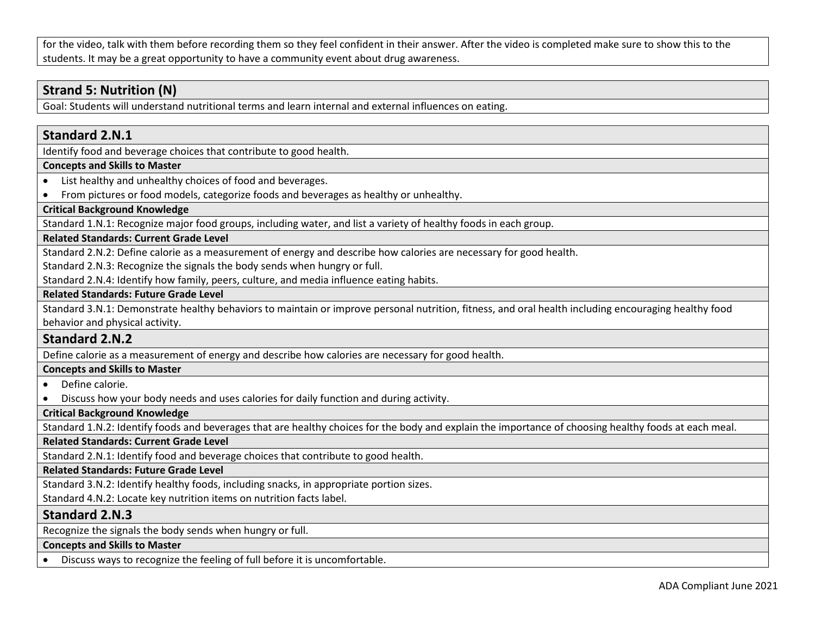for the video, talk with them before recording them so they feel confident in their answer. After the video is completed make sure to show this to the students. It may be a great opportunity to have a community event about drug awareness.

# **Strand 5: Nutrition (N)**

Goal: Students will understand nutritional terms and learn internal and external influences on eating.

# **Standard 2.N.1**

Identify food and beverage choices that contribute to good health.

#### **Concepts and Skills to Master**

• List healthy and unhealthy choices of food and beverages.

• From pictures or food models, categorize foods and beverages as healthy or unhealthy.

# **Critical Background Knowledge**

Standard 1.N.1: Recognize major food groups, including water, and list a variety of healthy foods in each group.

# **Related Standards: Current Grade Level**

Standard 2.N.2: Define calorie as a measurement of energy and describe how calories are necessary for good health.

Standard 2.N.3: Recognize the signals the body sends when hungry or full.

Standard 2.N.4: Identify how family, peers, culture, and media influence eating habits.

### **Related Standards: Future Grade Level**

Standard 3.N.1: Demonstrate healthy behaviors to maintain or improve personal nutrition, fitness, and oral health including encouraging healthy food behavior and physical activity.

# **Standard 2.N.2**

Define calorie as a measurement of energy and describe how calories are necessary for good health.

# **Concepts and Skills to Master**

- Define calorie.
- Discuss how your body needs and uses calories for daily function and during activity.

# **Critical Background Knowledge**

Standard 1.N.2: Identify foods and beverages that are healthy choices for the body and explain the importance of choosing healthy foods at each meal.

# **Related Standards: Current Grade Level**

Standard 2.N.1: Identify food and beverage choices that contribute to good health.

**Related Standards: Future Grade Level** 

Standard 3.N.2: Identify healthy foods, including snacks, in appropriate portion sizes.

Standard 4.N.2: Locate key nutrition items on nutrition facts label.

# **Standard 2.N.3**

Recognize the signals the body sends when hungry or full.

#### **Concepts and Skills to Master**

• Discuss ways to recognize the feeling of full before it is uncomfortable.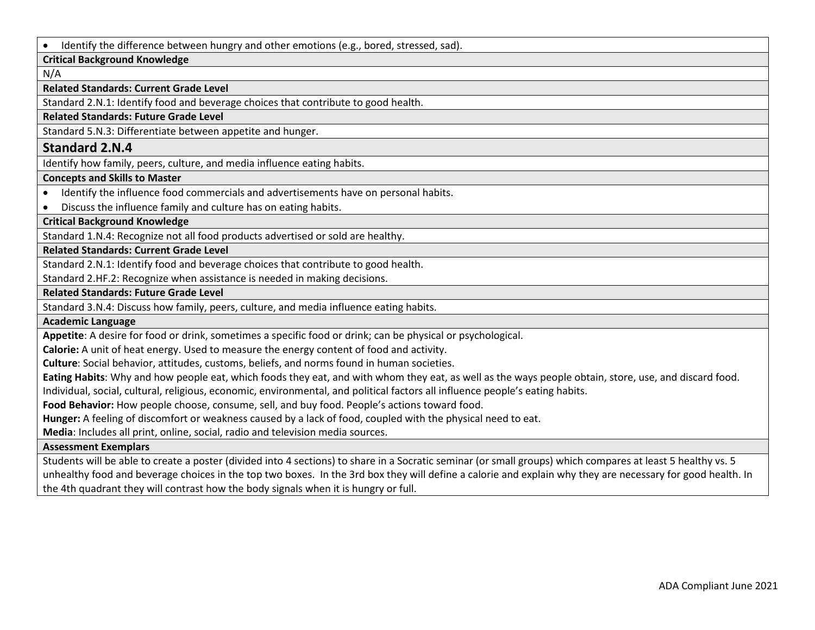• Identify the difference between hungry and other emotions (e.g., bored, stressed, sad).

### **Critical Background Knowledge**

N/A

#### **Related Standards: Current Grade Level**

Standard 2.N.1: Identify food and beverage choices that contribute to good health.

### **Related Standards: Future Grade Level**

Standard 5.N.3: Differentiate between appetite and hunger.

# **Standard 2.N.4**

Identify how family, peers, culture, and media influence eating habits.

# **Concepts and Skills to Master**

- Identify the influence food commercials and advertisements have on personal habits.
- Discuss the influence family and culture has on eating habits.

**Critical Background Knowledge**

Standard 1.N.4: Recognize not all food products advertised or sold are healthy.

#### **Related Standards: Current Grade Level**

Standard 2.N.1: Identify food and beverage choices that contribute to good health.

Standard 2.HF.2: Recognize when assistance is needed in making decisions.

#### **Related Standards: Future Grade Level**

Standard 3.N.4: Discuss how family, peers, culture, and media influence eating habits.

#### **Academic Language**

**Appetite**: A desire for food or drink, sometimes a specific food or drink; can be physical or psychological.

**Calorie:** A unit of heat energy. Used to measure the energy content of food and activity.

**Culture**: Social behavior, attitudes, customs, beliefs, and norms found in human societies.

**Eating Habits**: Why and how people eat, which foods they eat, and with whom they eat, as well as the ways people obtain, store, use, and discard food.

Individual, social, cultural, religious, economic, environmental, and political factors all influence people's eating habits.

**Food Behavior:** How people choose, consume, sell, and buy food. People's actions toward food.

**Hunger:** A feeling of discomfort or weakness caused by a lack of food, coupled with the physical need to eat.

**Media**: Includes all print, online, social, radio and television media sources.

### **Assessment Exemplars**

Students will be able to create a poster (divided into 4 sections) to share in a Socratic seminar (or small groups) which compares at least 5 healthy vs. 5 unhealthy food and beverage choices in the top two boxes. In the 3rd box they will define a calorie and explain why they are necessary for good health. In the 4th quadrant they will contrast how the body signals when it is hungry or full.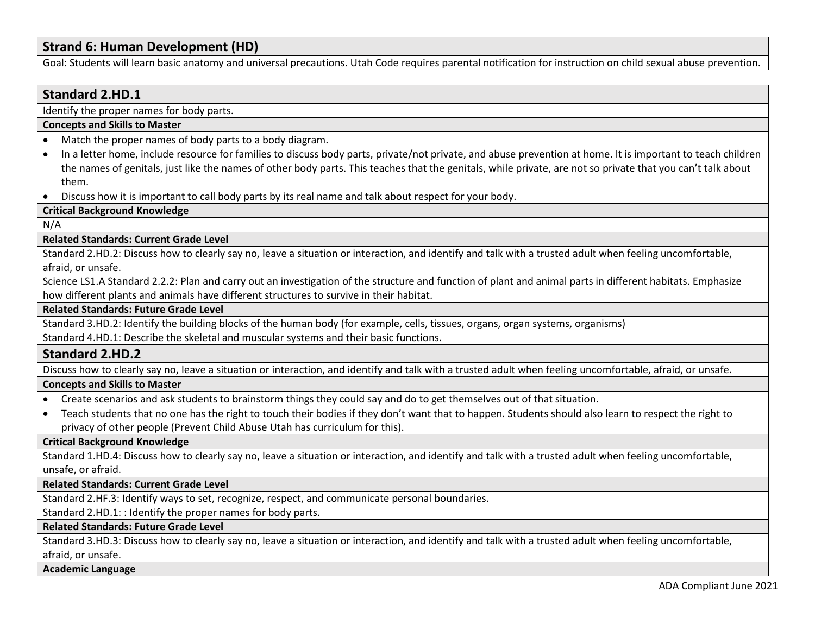# **Strand 6: Human Development (HD)**

Goal: Students will learn basic anatomy and universal precautions. Utah Code requires parental notification for instruction on child sexual abuse prevention.

# **Standard 2.HD.1**

Identify the proper names for body parts.

#### **Concepts and Skills to Master**

- Match the proper names of body parts to a body diagram.
- In a letter home, include resource for families to discuss body parts, private/not private, and abuse prevention at home. It is important to teach children the names of genitals, just like the names of other body parts. This teaches that the genitals, while private, are not so private that you can't talk about them.
- Discuss how it is important to call body parts by its real name and talk about respect for your body.

# **Critical Background Knowledge**

N/A

#### **Related Standards: Current Grade Level**

Standard 2.HD.2: Discuss how to clearly say no, leave a situation or interaction, and identify and talk with a trusted adult when feeling uncomfortable, afraid, or unsafe.

Science LS1.A Standard 2.2.2: Plan and carry out an investigation of the structure and function of plant and animal parts in different habitats. Emphasize how different plants and animals have different structures to survive in their habitat.

#### **Related Standards: Future Grade Level**

Standard 3.HD.2: Identify the building blocks of the human body (for example, cells, tissues, organs, organ systems, organisms)

Standard 4.HD.1: Describe the skeletal and muscular systems and their basic functions.

# **Standard 2.HD.2**

Discuss how to clearly say no, leave a situation or interaction, and identify and talk with a trusted adult when feeling uncomfortable, afraid, or unsafe.

#### **Concepts and Skills to Master**

- Create scenarios and ask students to brainstorm things they could say and do to get themselves out of that situation.
- Teach students that no one has the right to touch their bodies if they don't want that to happen. Students should also learn to respect the right to privacy of other people (Prevent Child Abuse Utah has curriculum for this).

### **Critical Background Knowledge**

Standard 1.HD.4: Discuss how to clearly say no, leave a situation or interaction, and identify and talk with a trusted adult when feeling uncomfortable, unsafe, or afraid.

### **Related Standards: Current Grade Level**

Standard 2.HF.3: Identify ways to set, recognize, respect, and communicate personal boundaries.

Standard 2.HD.1: : Identify the proper names for body parts.

# **Related Standards: Future Grade Level**

Standard 3.HD.3: Discuss how to clearly say no, leave a situation or interaction, and identify and talk with a trusted adult when feeling uncomfortable, afraid, or unsafe.

### **Academic Language**